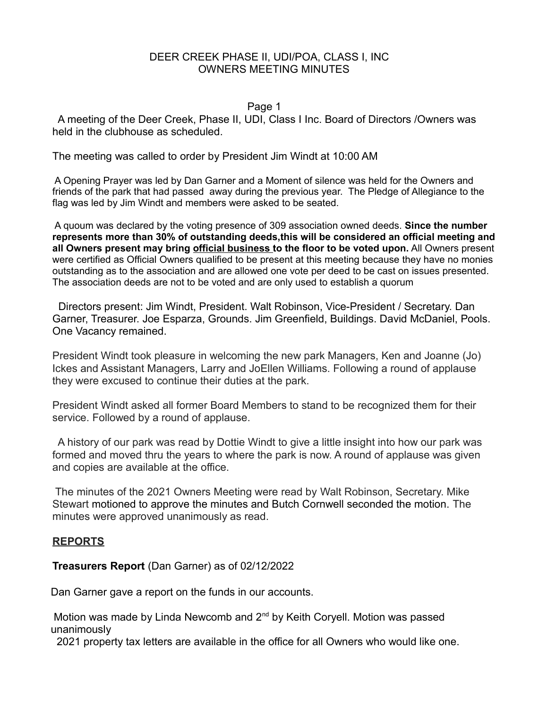### Page 1

 A meeting of the Deer Creek, Phase II, UDI, Class I Inc. Board of Directors /Owners was held in the clubhouse as scheduled.

The meeting was called to order by President Jim Windt at 10:00 AM

 A Opening Prayer was led by Dan Garner and a Moment of silence was held for the Owners and friends of the park that had passed away during the previous year. The Pledge of Allegiance to the flag was led by Jim Windt and members were asked to be seated.

 A quoum was declared by the voting presence of 309 association owned deeds. **Since the number represents more than 30% of outstanding deeds,this will be considered an official meeting and all Owners present may bring official business to the floor to be voted upon.** All Owners present were certified as Official Owners qualified to be present at this meeting because they have no monies outstanding as to the association and are allowed one vote per deed to be cast on issues presented. The association deeds are not to be voted and are only used to establish a quorum

 Directors present: Jim Windt, President. Walt Robinson, Vice-President / Secretary. Dan Garner, Treasurer. Joe Esparza, Grounds. Jim Greenfield, Buildings. David McDaniel, Pools. One Vacancy remained.

President Windt took pleasure in welcoming the new park Managers, Ken and Joanne (Jo) Ickes and Assistant Managers, Larry and JoEllen Williams. Following a round of applause they were excused to continue their duties at the park.

President Windt asked all former Board Members to stand to be recognized them for their service. Followed by a round of applause.

 A history of our park was read by Dottie Windt to give a little insight into how our park was formed and moved thru the years to where the park is now. A round of applause was given and copies are available at the office.

 The minutes of the 2021 Owners Meeting were read by Walt Robinson, Secretary. Mike Stewart motioned to approve the minutes and Butch Cornwell seconded the motion. The minutes were approved unanimously as read.

# **REPORTS**

**Treasurers Report** (Dan Garner) as of 02/12/2022

Dan Garner gave a report on the funds in our accounts.

Motion was made by Linda Newcomb and 2<sup>nd</sup> by Keith Coryell. Motion was passed unanimously

2021 property tax letters are available in the office for all Owners who would like one.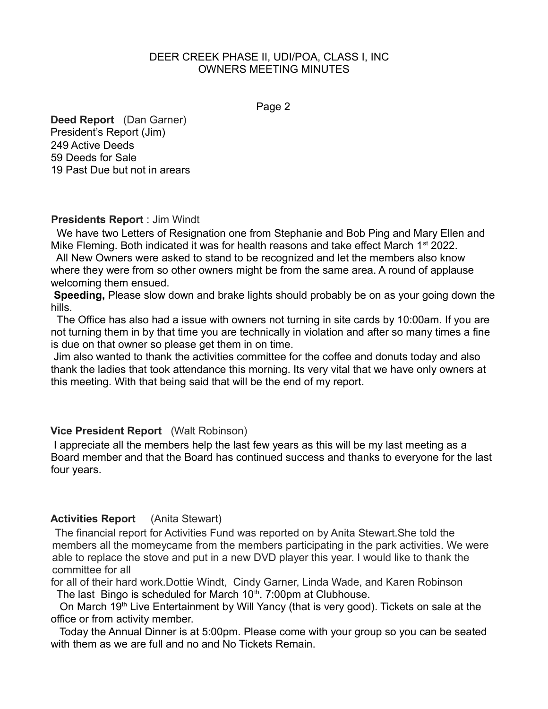Page 2

**Deed Report** (Dan Garner) President's Report (Jim) 249 Active Deeds 59 Deeds for Sale 19 Past Due but not in arears

## **Presidents Report** : Jim Windt

 We have two Letters of Resignation one from Stephanie and Bob Ping and Mary Ellen and Mike Fleming. Both indicated it was for health reasons and take effect March 1<sup>st</sup> 2022.

 All New Owners were asked to stand to be recognized and let the members also know where they were from so other owners might be from the same area. A round of applause welcoming them ensued.

**Speeding,** Please slow down and brake lights should probably be on as your going down the hills.

 The Office has also had a issue with owners not turning in site cards by 10:00am. If you are not turning them in by that time you are technically in violation and after so many times a fine is due on that owner so please get them in on time.

 Jim also wanted to thank the activities committee for the coffee and donuts today and also thank the ladies that took attendance this morning. Its very vital that we have only owners at this meeting. With that being said that will be the end of my report.

# **Vice President Report** (Walt Robinson)

 I appreciate all the members help the last few years as this will be my last meeting as a Board member and that the Board has continued success and thanks to everyone for the last four years.

# **Activities Report** (Anita Stewart)

 The financial report for Activities Fund was reported on by Anita Stewart.She told the members all the momeycame from the members participating in the park activities. We were able to replace the stove and put in a new DVD player this year. I would like to thank the committee for all

for all of their hard work.Dottie Windt, Cindy Garner, Linda Wade, and Karen Robinson The last Bingo is scheduled for March  $10<sup>th</sup>$ . 7:00pm at Clubhouse.

On March 19<sup>th</sup> Live Entertainment by Will Yancy (that is very good). Tickets on sale at the office or from activity member.

 Today the Annual Dinner is at 5:00pm. Please come with your group so you can be seated with them as we are full and no and No Tickets Remain.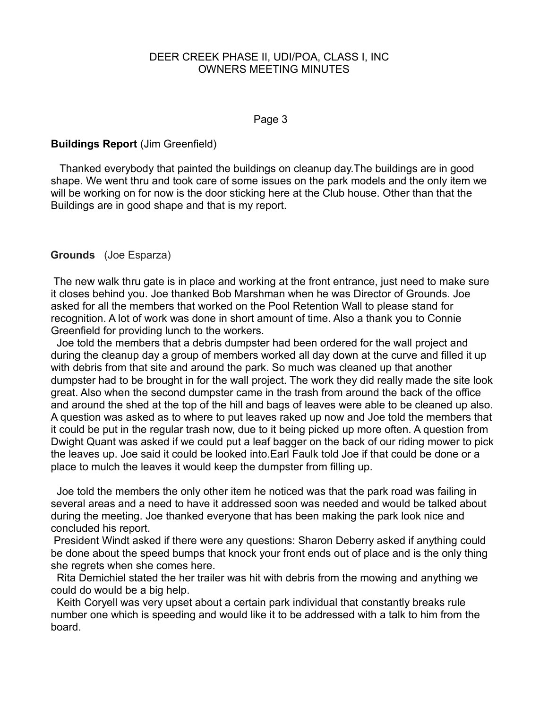#### Page 3

# **Buildings Report** (Jim Greenfield)

 Thanked everybody that painted the buildings on cleanup day.The buildings are in good shape. We went thru and took care of some issues on the park models and the only item we will be working on for now is the door sticking here at the Club house. Other than that the Buildings are in good shape and that is my report.

### **Grounds** (Joe Esparza)

The new walk thru gate is in place and working at the front entrance, just need to make sure it closes behind you. Joe thanked Bob Marshman when he was Director of Grounds. Joe asked for all the members that worked on the Pool Retention Wall to please stand for recognition. A lot of work was done in short amount of time. Also a thank you to Connie Greenfield for providing lunch to the workers.

 Joe told the members that a debris dumpster had been ordered for the wall project and during the cleanup day a group of members worked all day down at the curve and filled it up with debris from that site and around the park. So much was cleaned up that another dumpster had to be brought in for the wall project. The work they did really made the site look great. Also when the second dumpster came in the trash from around the back of the office and around the shed at the top of the hill and bags of leaves were able to be cleaned up also. A question was asked as to where to put leaves raked up now and Joe told the members that it could be put in the regular trash now, due to it being picked up more often. A question from Dwight Quant was asked if we could put a leaf bagger on the back of our riding mower to pick the leaves up. Joe said it could be looked into.Earl Faulk told Joe if that could be done or a place to mulch the leaves it would keep the dumpster from filling up.

 Joe told the members the only other item he noticed was that the park road was failing in several areas and a need to have it addressed soon was needed and would be talked about during the meeting. Joe thanked everyone that has been making the park look nice and concluded his report.

 President Windt asked if there were any questions: Sharon Deberry asked if anything could be done about the speed bumps that knock your front ends out of place and is the only thing she regrets when she comes here.

 Rita Demichiel stated the her trailer was hit with debris from the mowing and anything we could do would be a big help.

 Keith Coryell was very upset about a certain park individual that constantly breaks rule number one which is speeding and would like it to be addressed with a talk to him from the board.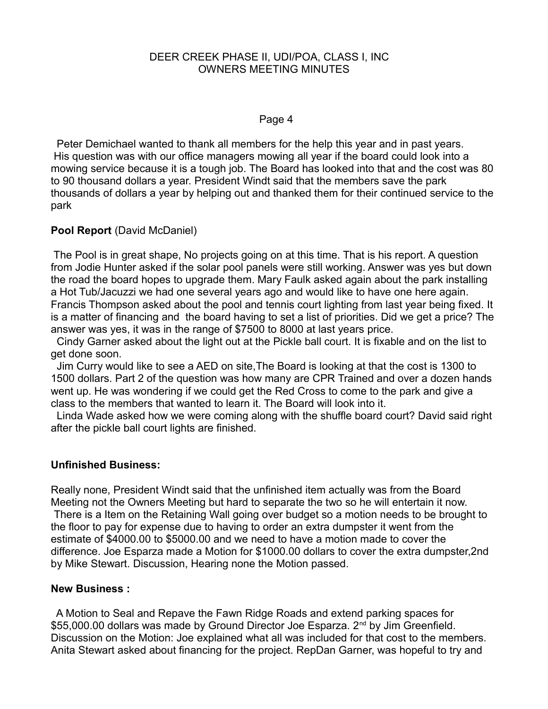#### Page 4

 Peter Demichael wanted to thank all members for the help this year and in past years. His question was with our office managers mowing all year if the board could look into a mowing service because it is a tough job. The Board has looked into that and the cost was 80 to 90 thousand dollars a year. President Windt said that the members save the park thousands of dollars a year by helping out and thanked them for their continued service to the park

## **Pool Report** (David McDaniel)

 The Pool is in great shape, No projects going on at this time. That is his report. A question from Jodie Hunter asked if the solar pool panels were still working. Answer was yes but down the road the board hopes to upgrade them. Mary Faulk asked again about the park installing a Hot Tub/Jacuzzi we had one several years ago and would like to have one here again. Francis Thompson asked about the pool and tennis court lighting from last year being fixed. It is a matter of financing and the board having to set a list of priorities. Did we get a price? The answer was yes, it was in the range of \$7500 to 8000 at last years price.

 Cindy Garner asked about the light out at the Pickle ball court. It is fixable and on the list to get done soon.

 Jim Curry would like to see a AED on site,The Board is looking at that the cost is 1300 to 1500 dollars. Part 2 of the question was how many are CPR Trained and over a dozen hands went up. He was wondering if we could get the Red Cross to come to the park and give a class to the members that wanted to learn it. The Board will look into it.

 Linda Wade asked how we were coming along with the shuffle board court? David said right after the pickle ball court lights are finished.

### **Unfinished Business:**

Really none, President Windt said that the unfinished item actually was from the Board Meeting not the Owners Meeting but hard to separate the two so he will entertain it now. There is a Item on the Retaining Wall going over budget so a motion needs to be brought to the floor to pay for expense due to having to order an extra dumpster it went from the estimate of \$4000.00 to \$5000.00 and we need to have a motion made to cover the difference. Joe Esparza made a Motion for \$1000.00 dollars to cover the extra dumpster,2nd by Mike Stewart. Discussion, Hearing none the Motion passed.

### **New Business :**

 A Motion to Seal and Repave the Fawn Ridge Roads and extend parking spaces for \$55,000.00 dollars was made by Ground Director Joe Esparza. 2<sup>nd</sup> by Jim Greenfield. Discussion on the Motion: Joe explained what all was included for that cost to the members. Anita Stewart asked about financing for the project. RepDan Garner, was hopeful to try and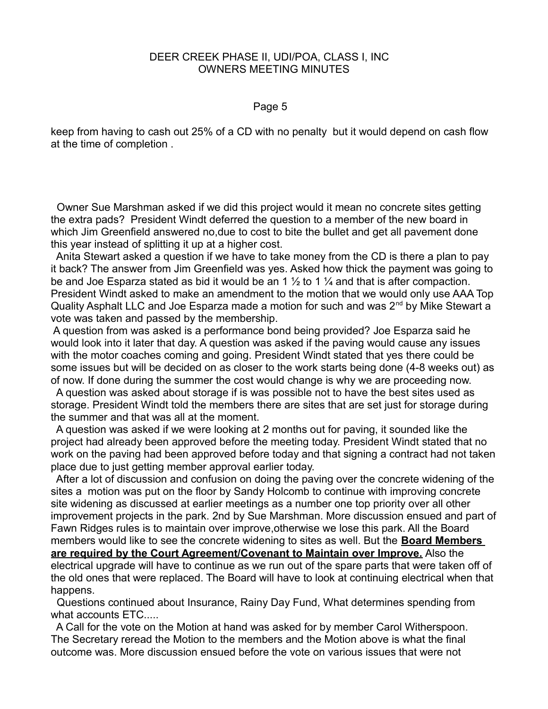#### Page 5

keep from having to cash out 25% of a CD with no penalty but it would depend on cash flow at the time of completion .

 Owner Sue Marshman asked if we did this project would it mean no concrete sites getting the extra pads? President Windt deferred the question to a member of the new board in which Jim Greenfield answered no,due to cost to bite the bullet and get all pavement done this year instead of splitting it up at a higher cost.

 Anita Stewart asked a question if we have to take money from the CD is there a plan to pay it back? The answer from Jim Greenfield was yes. Asked how thick the payment was going to be and Joe Esparza stated as bid it would be an 1  $\frac{1}{2}$  to 1  $\frac{1}{4}$  and that is after compaction. President Windt asked to make an amendment to the motion that we would only use AAA Top Quality Asphalt LLC and Joe Esparza made a motion for such and was  $2^{nd}$  by Mike Stewart a vote was taken and passed by the membership.

 A question from was asked is a performance bond being provided? Joe Esparza said he would look into it later that day. A question was asked if the paving would cause any issues with the motor coaches coming and going. President Windt stated that yes there could be some issues but will be decided on as closer to the work starts being done (4-8 weeks out) as of now. If done during the summer the cost would change is why we are proceeding now.

 A question was asked about storage if is was possible not to have the best sites used as storage. President Windt told the members there are sites that are set just for storage during the summer and that was all at the moment.

 A question was asked if we were looking at 2 months out for paving, it sounded like the project had already been approved before the meeting today. President Windt stated that no work on the paving had been approved before today and that signing a contract had not taken place due to just getting member approval earlier today.

 After a lot of discussion and confusion on doing the paving over the concrete widening of the sites a motion was put on the floor by Sandy Holcomb to continue with improving concrete site widening as discussed at earlier meetings as a number one top priority over all other improvement projects in the park. 2nd by Sue Marshman. More discussion ensued and part of Fawn Ridges rules is to maintain over improve,otherwise we lose this park. All the Board members would like to see the concrete widening to sites as well. But the **Board Members are required by the Court Agreement/Covenant to Maintain over Improve.** Also the electrical upgrade will have to continue as we run out of the spare parts that were taken off of the old ones that were replaced. The Board will have to look at continuing electrical when that happens.

 Questions continued about Insurance, Rainy Day Fund, What determines spending from what accounts ETC.....

 A Call for the vote on the Motion at hand was asked for by member Carol Witherspoon. The Secretary reread the Motion to the members and the Motion above is what the final outcome was. More discussion ensued before the vote on various issues that were not